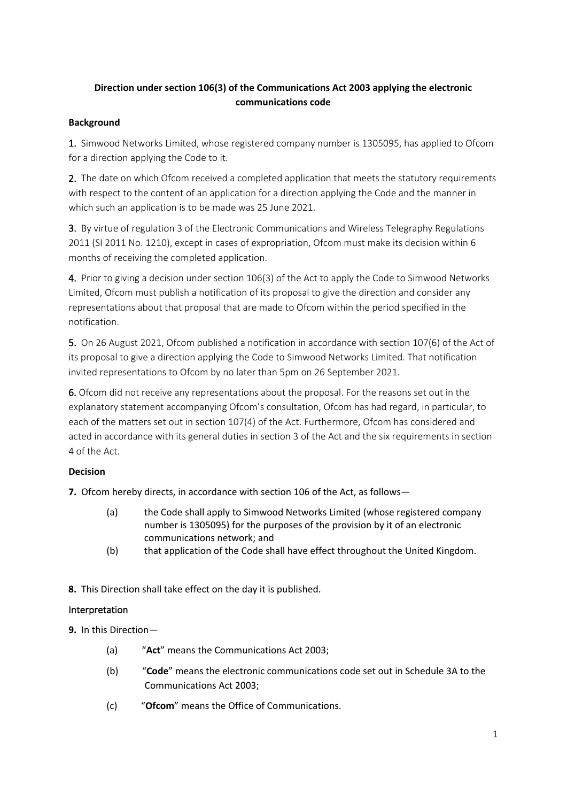## **Direction under section 106(3) of the Communications Act 2003 applying the electronic communications code**

### **Background**

1. Simwood Networks Limited, whose registered company number is 1305095, has applied to Ofcom for a direction applying the Code to it.

2. The date on which Ofcom received a completed application that meets the statutory requirements with respect to the content of an application for a direction applying the Code and the manner in which such an application is to be made was 25 June 2021.

3. By virtue of regulation 3 of the Electronic Communications and Wireless Telegraphy Regulations 2011 (SI 2011 No. 1210), except in cases of expropriation, Ofcom must make its decision within 6 months of receiving the completed application.

4. Prior to giving a decision under section 106(3) of the Act to apply the Code to Simwood Networks Limited, Ofcom must publish a notification of its proposal to give the direction and consider any representations about that proposal that are made to Ofcom within the period specified in the notification.

5. On 26 August 2021, Ofcom published a notification in accordance with section 107(6) of the Act of its proposal to give a direction applying the Code to Simwood Networks Limited. That notification invited representations to Ofcom by no later than 5pm on 26 September 2021.

6. Ofcom did not receive any representations about the proposal. For the reasons set out in the explanatory statement accompanying Ofcom's consultation, Ofcom has had regard, in particular, to each of the matters set out in section 107(4) of the Act. Furthermore, Ofcom has considered and acted in accordance with its general duties in section 3 of the Act and the six requirements in section 4 of the Act.

### **Decision**

**7.** Ofcom hereby directs, in accordance with section 106 of the Act, as follows—

- (a) the Code shall apply to Simwood Networks Limited (whose registered company number is 1305095) for the purposes of the provision by it of an electronic communications network; and
- (b) that application of the Code shall have effect throughout the United Kingdom.

**8.** This Direction shall take effect on the day it is published.

#### Interpretation

**9.** In this Direction—

- (a) "**Act**" means the Communications Act 2003;
- (b) "**Code**" means the electronic communications code set out in Schedule 3A to the Communications Act 2003;
- (c) "**Ofcom**" means the Office of Communications.